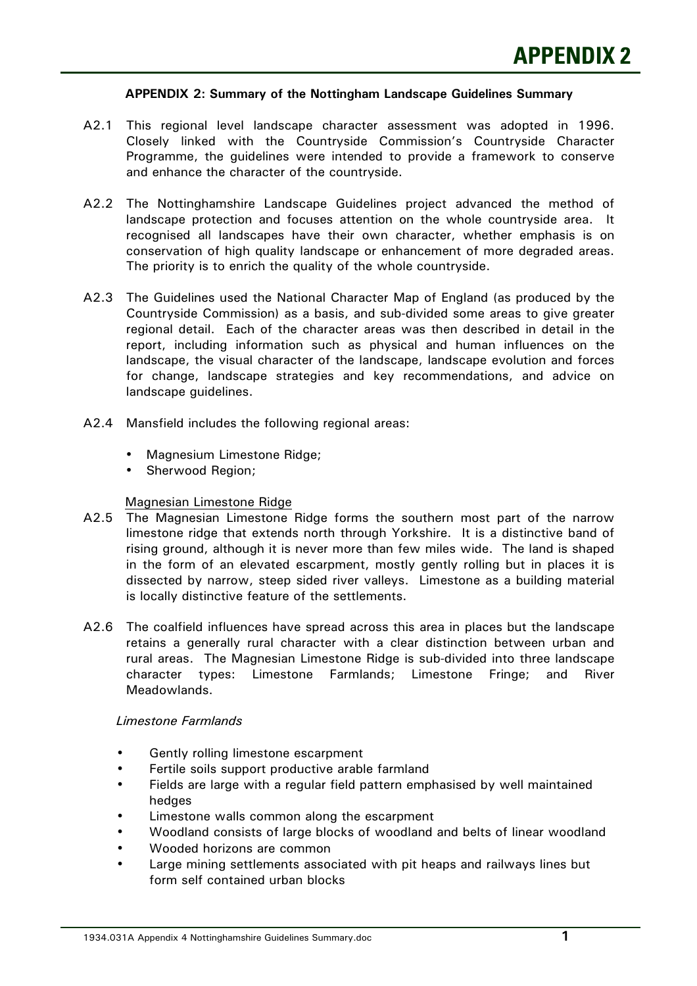#### **APPENDIX 2: Summary of the Nottingham Landscape Guidelines Summary**

- A2.1 This regional level landscape character assessment was adopted in 1996. Closely linked with the Countryside Commission's Countryside Character Programme, the guidelines were intended to provide a framework to conserve and enhance the character of the countryside.
- A2.2 The Nottinghamshire Landscape Guidelines project advanced the method of landscape protection and focuses attention on the whole countryside area. It recognised all landscapes have their own character, whether emphasis is on conservation of high quality landscape or enhancement of more degraded areas. The priority is to enrich the quality of the whole countryside.
- A2.3 The Guidelines used the National Character Map of England (as produced by the Countryside Commission) as a basis, and sub-divided some areas to give greater regional detail. Each of the character areas was then described in detail in the report, including information such as physical and human influences on the landscape, the visual character of the landscape, landscape evolution and forces for change, landscape strategies and key recommendations, and advice on landscape guidelines.
- A2.4 Mansfield includes the following regional areas:
	- Magnesium Limestone Ridge;
	- Sherwood Region;

#### Magnesian Limestone Ridge

- A2.5 The Magnesian Limestone Ridge forms the southern most part of the narrow limestone ridge that extends north through Yorkshire. It is a distinctive band of rising ground, although it is never more than few miles wide. The land is shaped in the form of an elevated escarpment, mostly gently rolling but in places it is dissected by narrow, steep sided river valleys. Limestone as a building material is locally distinctive feature of the settlements.
- A2.6 The coalfield influences have spread across this area in places but the landscape retains a generally rural character with a clear distinction between urban and rural areas. The Magnesian Limestone Ridge is sub-divided into three landscape character types: Limestone Farmlands; Limestone Fringe; and River Meadowlands.

#### *Limestone Farmlands*

- Gently rolling limestone escarpment
- Fertile soils support productive arable farmland
- Fields are large with a regular field pattern emphasised by well maintained hedges
- Limestone walls common along the escarpment
- Woodland consists of large blocks of woodland and belts of linear woodland
- Wooded horizons are common
- Large mining settlements associated with pit heaps and railways lines but form self contained urban blocks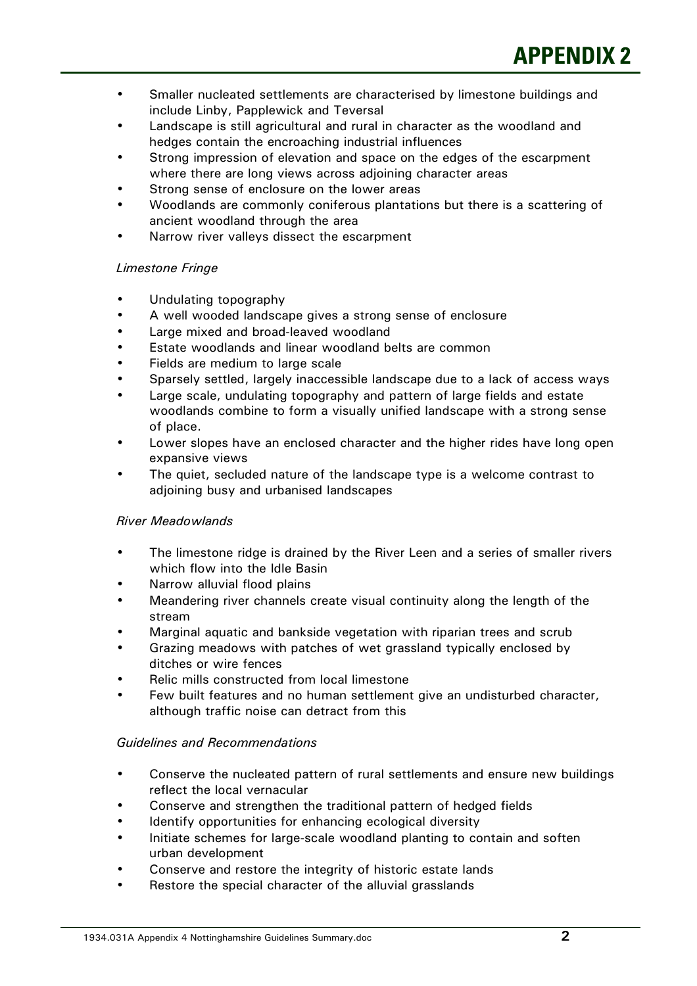- Smaller nucleated settlements are characterised by limestone buildings and include Linby, Papplewick and Teversal
- Landscape is still agricultural and rural in character as the woodland and hedges contain the encroaching industrial influences
- Strong impression of elevation and space on the edges of the escarpment where there are long views across adjoining character areas
- Strong sense of enclosure on the lower areas
- Woodlands are commonly coniferous plantations but there is a scattering of ancient woodland through the area
- Narrow river valleys dissect the escarpment

# *Limestone Fringe*

- Undulating topography
- A well wooded landscape gives a strong sense of enclosure
- Large mixed and broad-leaved woodland
- Estate woodlands and linear woodland belts are common
- Fields are medium to large scale
- Sparsely settled, largely inaccessible landscape due to a lack of access ways
- Large scale, undulating topography and pattern of large fields and estate woodlands combine to form a visually unified landscape with a strong sense of place.
- Lower slopes have an enclosed character and the higher rides have long open expansive views
- The quiet, secluded nature of the landscape type is a welcome contrast to adjoining busy and urbanised landscapes

# *River Meadowlands*

- The limestone ridge is drained by the River Leen and a series of smaller rivers which flow into the Idle Basin
- Narrow alluvial flood plains
- Meandering river channels create visual continuity along the length of the stream
- Marginal aquatic and bankside vegetation with riparian trees and scrub
- Grazing meadows with patches of wet grassland typically enclosed by ditches or wire fences
- Relic mills constructed from local limestone
- Few built features and no human settlement give an undisturbed character, although traffic noise can detract from this

# *Guidelines and Recommendations*

- Conserve the nucleated pattern of rural settlements and ensure new buildings reflect the local vernacular
- Conserve and strengthen the traditional pattern of hedged fields
- Identify opportunities for enhancing ecological diversity
- Initiate schemes for large-scale woodland planting to contain and soften urban development
- Conserve and restore the integrity of historic estate lands
- Restore the special character of the alluvial grasslands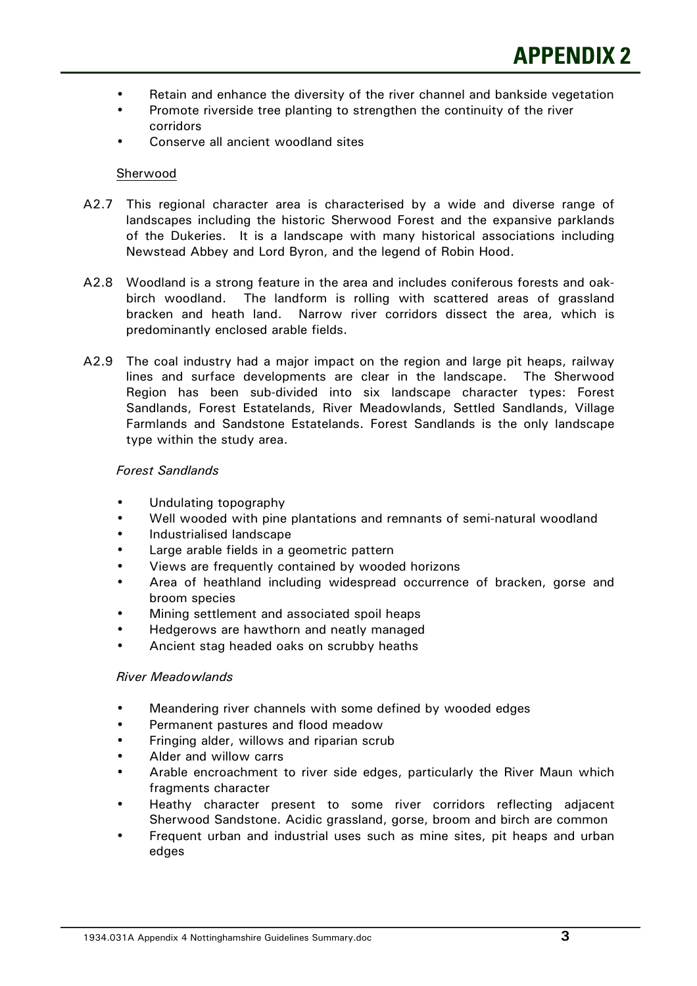- Retain and enhance the diversity of the river channel and bankside vegetation
- Promote riverside tree planting to strengthen the continuity of the river corridors
- Conserve all ancient woodland sites

### Sherwood

- A2.7 This regional character area is characterised by a wide and diverse range of landscapes including the historic Sherwood Forest and the expansive parklands of the Dukeries. It is a landscape with many historical associations including Newstead Abbey and Lord Byron, and the legend of Robin Hood.
- A2.8 Woodland is a strong feature in the area and includes coniferous forests and oakbirch woodland. The landform is rolling with scattered areas of grassland bracken and heath land. Narrow river corridors dissect the area, which is predominantly enclosed arable fields.
- A2.9 The coal industry had a major impact on the region and large pit heaps, railway lines and surface developments are clear in the landscape. The Sherwood Region has been sub-divided into six landscape character types: Forest Sandlands, Forest Estatelands, River Meadowlands, Settled Sandlands, Village Farmlands and Sandstone Estatelands. Forest Sandlands is the only landscape type within the study area.

#### *Forest Sandlands*

- Undulating topography
- Well wooded with pine plantations and remnants of semi-natural woodland
- Industrialised landscape
- Large arable fields in a geometric pattern
- Views are frequently contained by wooded horizons
- Area of heathland including widespread occurrence of bracken, gorse and broom species
- Mining settlement and associated spoil heaps
- Hedgerows are hawthorn and neatly managed
- Ancient stag headed oaks on scrubby heaths

# *River Meadowlands*

- Meandering river channels with some defined by wooded edges
- Permanent pastures and flood meadow
- Fringing alder, willows and riparian scrub
- Alder and willow carrs
- Arable encroachment to river side edges, particularly the River Maun which fragments character
- Heathy character present to some river corridors reflecting adjacent Sherwood Sandstone. Acidic grassland, gorse, broom and birch are common
- Frequent urban and industrial uses such as mine sites, pit heaps and urban edges